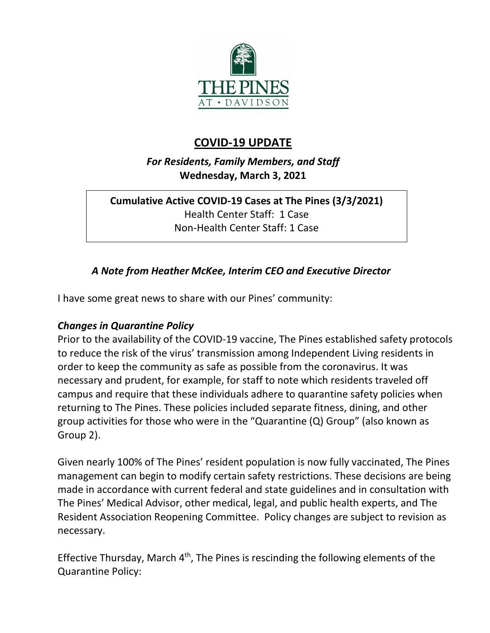

# **COVID-19 UPDATE**

*For Residents, Family Members, and Staff* **Wednesday, March 3, 2021**

## **Cumulative Active COVID-19 Cases at The Pines (3/3/2021)** Health Center Staff: 1 Case Non-Health Center Staff: 1 Case

## *A Note from Heather McKee, Interim CEO and Executive Director*

I have some great news to share with our Pines' community:

### *Changes in Quarantine Policy*

Prior to the availability of the COVID-19 vaccine, The Pines established safety protocols to reduce the risk of the virus' transmission among Independent Living residents in order to keep the community as safe as possible from the coronavirus. It was necessary and prudent, for example, for staff to note which residents traveled off campus and require that these individuals adhere to quarantine safety policies when returning to The Pines. These policies included separate fitness, dining, and other group activities for those who were in the "Quarantine (Q) Group" (also known as Group 2).

Given nearly 100% of The Pines' resident population is now fully vaccinated, The Pines management can begin to modify certain safety restrictions. These decisions are being made in accordance with current federal and state guidelines and in consultation with The Pines' Medical Advisor, other medical, legal, and public health experts, and The Resident Association Reopening Committee. Policy changes are subject to revision as necessary.

Effective Thursday, March  $4<sup>th</sup>$ , The Pines is rescinding the following elements of the Quarantine Policy: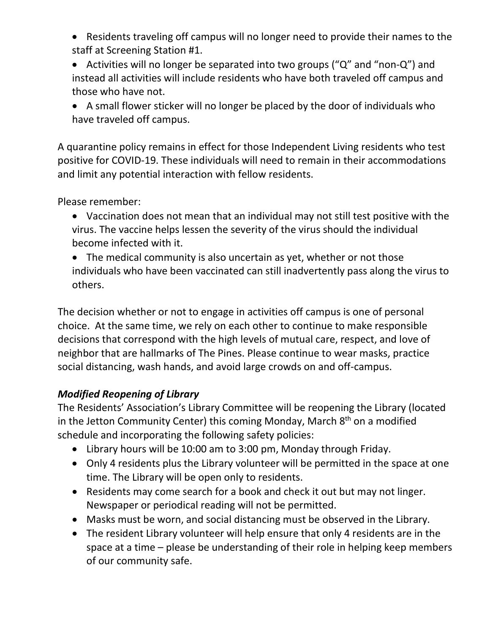• Residents traveling off campus will no longer need to provide their names to the staff at Screening Station #1.

• Activities will no longer be separated into two groups ("Q" and "non-Q") and instead all activities will include residents who have both traveled off campus and those who have not.

• A small flower sticker will no longer be placed by the door of individuals who have traveled off campus.

A quarantine policy remains in effect for those Independent Living residents who test positive for COVID-19. These individuals will need to remain in their accommodations and limit any potential interaction with fellow residents.

Please remember:

- Vaccination does not mean that an individual may not still test positive with the virus. The vaccine helps lessen the severity of the virus should the individual become infected with it.
- The medical community is also uncertain as yet, whether or not those individuals who have been vaccinated can still inadvertently pass along the virus to others.

The decision whether or not to engage in activities off campus is one of personal choice. At the same time, we rely on each other to continue to make responsible decisions that correspond with the high levels of mutual care, respect, and love of neighbor that are hallmarks of The Pines. Please continue to wear masks, practice social distancing, wash hands, and avoid large crowds on and off-campus.

## *Modified Reopening of Library*

The Residents' Association's Library Committee will be reopening the Library (located in the Jetton Community Center) this coming Monday, March 8<sup>th</sup> on a modified schedule and incorporating the following safety policies:

- Library hours will be 10:00 am to 3:00 pm, Monday through Friday.
- Only 4 residents plus the Library volunteer will be permitted in the space at one time. The Library will be open only to residents.
- Residents may come search for a book and check it out but may not linger. Newspaper or periodical reading will not be permitted.
- Masks must be worn, and social distancing must be observed in the Library.
- The resident Library volunteer will help ensure that only 4 residents are in the space at a time – please be understanding of their role in helping keep members of our community safe.